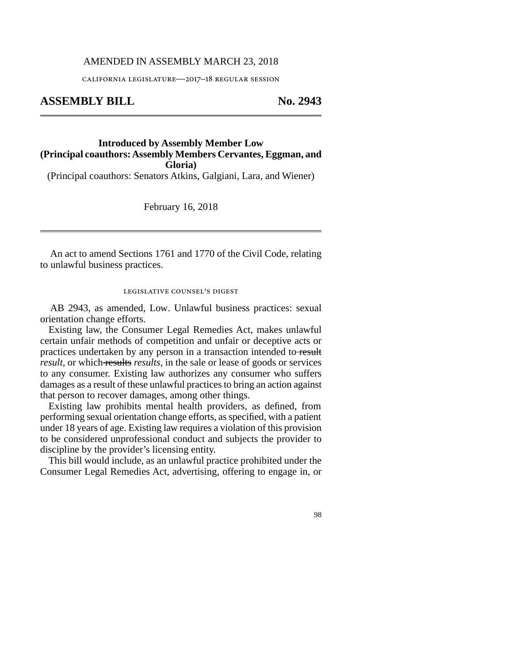### AMENDED IN ASSEMBLY MARCH 23, 2018

california legislature—2017–18 regular session

**ASSEMBLY BILL No. 2943** 

# **Introduced by Assembly Member Low (Principal coauthors: Assembly Members Cervantes, Eggman, and Gloria)**

(Principal coauthors: Senators Atkins, Galgiani, Lara, and Wiener)

February 16, 2018

An act to amend Sections 1761 and 1770 of the Civil Code, relating to unlawful business practices.

#### legislative counsel's digest

AB 2943, as amended, Low. Unlawful business practices: sexual orientation change efforts.

Existing law, the Consumer Legal Remedies Act, makes unlawful certain unfair methods of competition and unfair or deceptive acts or practices undertaken by any person in a transaction intended to result *result,* or which results *results*, in the sale or lease of goods or services to any consumer. Existing law authorizes any consumer who suffers damages as a result of these unlawful practices to bring an action against that person to recover damages, among other things.

Existing law prohibits mental health providers, as defined, from performing sexual orientation change efforts, as specified, with a patient under 18 years of age. Existing law requires a violation of this provision to be considered unprofessional conduct and subjects the provider to discipline by the provider's licensing entity.

This bill would include, as an unlawful practice prohibited under the Consumer Legal Remedies Act, advertising, offering to engage in, or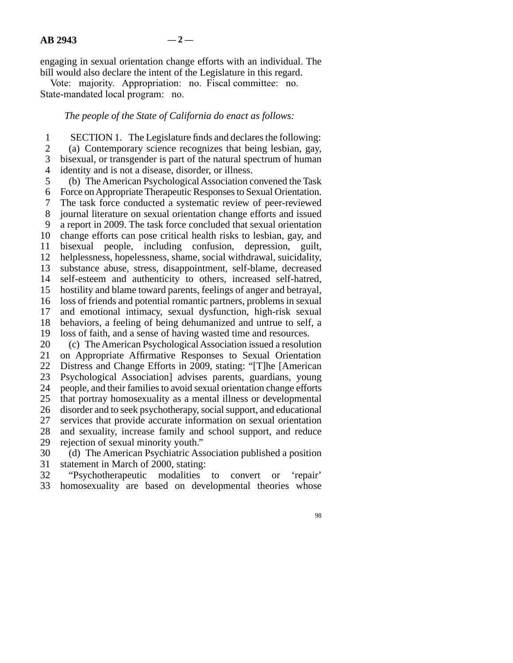engaging in sexual orientation change efforts with an individual. The bill would also declare the intent of the Legislature in this regard.

Vote: majority. Appropriation: no. Fiscal committee: no. State-mandated local program: no.

## *The people of the State of California do enact as follows:*

1 SECTION 1. The Legislature finds and declares the following:<br>2 (a) Contemporary science recognizes that being lesbian, gay, (a) Contemporary science recognizes that being lesbian, gay, 3 bisexual, or transgender is part of the natural spectrum of human 4 identity and is not a disease, disorder, or illness.

5 (b) The American Psychological Association convened the Task 6 Force on Appropriate Therapeutic Responses to Sexual Orientation. 7 The task force conducted a systematic review of peer-reviewed 8 journal literature on sexual orientation change efforts and issued 9 a report in 2009. The task force concluded that sexual orientation 10 change efforts can pose critical health risks to lesbian, gay, and 11 bisexual people, including confusion, depression, guilt, 12 helplessness, hopelessness, shame, social withdrawal, suicidality, 13 substance abuse, stress, disappointment, self-blame, decreased 14 self-esteem and authenticity to others, increased self-hatred, 15 hostility and blame toward parents, feelings of anger and betrayal, 16 loss of friends and potential romantic partners, problems in sexual 17 and emotional intimacy, sexual dysfunction, high-risk sexual 18 behaviors, a feeling of being dehumanized and untrue to self, a 19 loss of faith, and a sense of having wasted time and resources.

20 (c) The American Psychological Association issued a resolution 21 on Appropriate Affirmative Responses to Sexual Orientation 22 Distress and Change Efforts in 2009, stating: "[T]he [American 23 Psychological Association] advises parents, guardians, young 24 people, and their families to avoid sexual orientation change efforts 25 that portray homosexuality as a mental illness or developmental 26 disorder and to seek psychotherapy, social support, and educational 27 services that provide accurate information on sexual orientation 28 and sexuality, increase family and school support, and reduce rejection of sexual minority youth." rejection of sexual minority youth."

30 (d) The American Psychiatric Association published a position 31 statement in March of 2000, stating:<br>32 "Psychotherapeutic modalities"

"Psychotherapeutic modalities to convert or 'repair' 33 homosexuality are based on developmental theories whose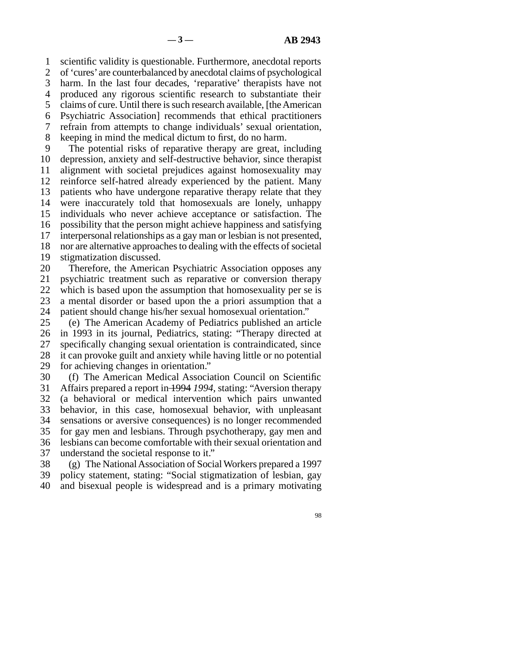1 scientific validity is questionable. Furthermore, anecdotal reports 2 of 'cures' are counterbalanced by anecdotal claims of psychological 3 harm. In the last four decades, 'reparative' therapists have not 4 produced any rigorous scientific research to substantiate their 5 claims of cure. Until there is such research available, [the American line 6 Psychiatric Association] recommends that ethical practitioners 7 refrain from attempts to change individuals' sexual orientation, 8 keeping in mind the medical dictum to first, do no harm.

9 The potential risks of reparative therapy are great, including 10 depression, anxiety and self-destructive behavior, since therapist 11 alignment with societal prejudices against homosexuality may 12 reinforce self-hatred already experienced by the patient. Many 13 patients who have undergone reparative therapy relate that they 14 were inaccurately told that homosexuals are lonely, unhappy 15 individuals who never achieve acceptance or satisfaction. The 16 possibility that the person might achieve happiness and satisfying 17 interpersonal relationships as a gay man or lesbian is not presented, 18 nor are alternative approaches to dealing with the effects of societal 19 stigmatization discussed.

20 Therefore, the American Psychiatric Association opposes any 21 psychiatric treatment such as reparative or conversion therapy 22 which is based upon the assumption that homosexuality per se is 23 a mental disorder or based upon the a priori assumption that a 24 patient should change his/her sexual homosexual orientation."<br>25 (e) The American Academy of Pediatrics published an arti

(e) The American Academy of Pediatrics published an article 26 in 1993 in its journal, Pediatrics, stating: "Therapy directed at 27 specifically changing sexual orientation is contraindicated, since 28 it can provoke guilt and anxiety while having little or no potential 29 for achieving changes in orientation."

30 (f) The American Medical Association Council on Scientific line 31 Affairs prepared a report in 1994 *1994,* stating: "Aversion therapy 32 (a behavioral or medical intervention which pairs unwanted 33 behavior, in this case, homosexual behavior, with unpleasant 34 sensations or aversive consequences) is no longer recommended 35 for gay men and lesbians. Through psychotherapy, gay men and 36 lesbians can become comfortable with their sexual orientation and 37 understand the societal response to it."

 line 38 (g) The National Association of Social Workers prepared a 1997 39 policy statement, stating: "Social stigmatization of lesbian, gay 40 and bisexual people is widespread and is a primary motivating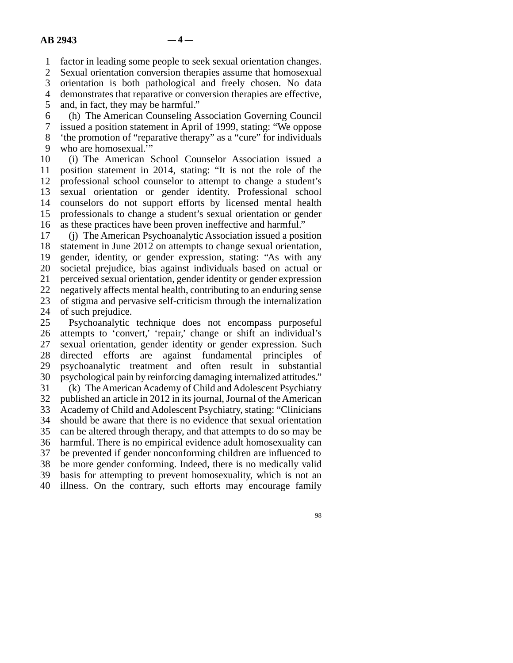1 factor in leading some people to seek sexual orientation changes.

2 Sexual orientation conversion therapies assume that homosexual

3 orientation is both pathological and freely chosen. No data

4 demonstrates that reparative or conversion therapies are effective,

5 and, in fact, they may be harmful."

6 (h) The American Counseling Association Governing Council

 line 7 issued a position statement in April of 1999, stating: "We oppose line 8 'the promotion of "reparative therapy" as a "cure" for individuals 9 who are homosexual."

10 (i) The American School Counselor Association issued a 11 position statement in 2014, stating: "It is not the role of the 12 professional school counselor to attempt to change a student's 13 sexual orientation or gender identity. Professional school 14 counselors do not support efforts by licensed mental health 15 professionals to change a student's sexual orientation or gender 16 as these practices have been proven ineffective and harmful."

17 (j) The American Psychoanalytic Association issued a position 18 statement in June 2012 on attempts to change sexual orientation, 19 gender, identity, or gender expression, stating: "As with any 20 societal prejudice, bias against individuals based on actual or 21 perceived sexual orientation, gender identity or gender expression 22 negatively affects mental health, contributing to an enduring sense 23 of stigma and pervasive self-criticism through the internalization

24 of such prejudice.<br>25 Psychoanalytic Psychoanalytic technique does not encompass purposeful 26 attempts to 'convert,' 'repair,' change or shift an individual's 27 sexual orientation, gender identity or gender expression. Such 28 directed efforts are against fundamental principles of 29 psychoanalytic treatment and often result in substantial 30 psychological pain by reinforcing damaging internalized attitudes." 31 (k) The American Academy of Child and Adolescent Psychiatry 32 published an article in 2012 in its journal, Journal of the American 33 Academy of Child and Adolescent Psychiatry, stating: "Clinicians" 34 should be aware that there is no evidence that sexual orientation 35 can be altered through therapy, and that attempts to do so may be 36 harmful. There is no empirical evidence adult homosexuality can 37 be prevented if gender nonconforming children are influenced to 38 be more gender conforming. Indeed, there is no medically valid 39 basis for attempting to prevent homosexuality, which is not an 40 illness. On the contrary, such efforts may encourage family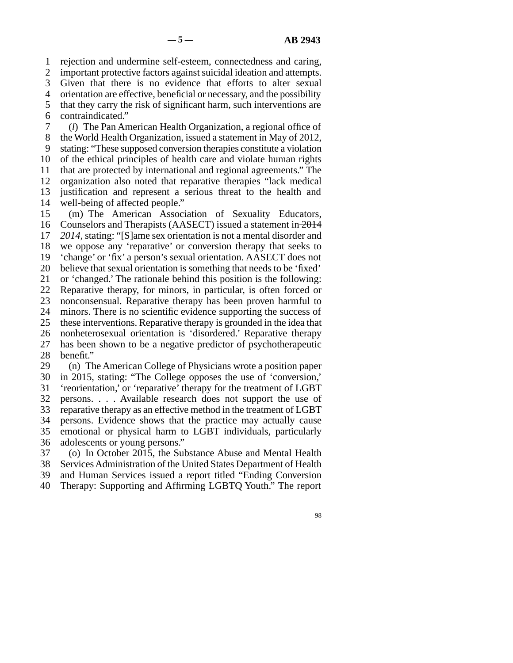1 rejection and undermine self-esteem, connectedness and caring, 2 important protective factors against suicidal ideation and attempts.

3 Given that there is no evidence that efforts to alter sexual

4 orientation are effective, beneficial or necessary, and the possibility

5 that they carry the risk of significant harm, such interventions are

6 contraindicated."

 line 7 (*l*) The Pan American Health Organization, a regional office of 8 the World Health Organization, issued a statement in May of 2012, 9 stating: "These supposed conversion therapies constitute a violation 10 of the ethical principles of health care and violate human rights 11 that are protected by international and regional agreements." The 12 organization also noted that reparative therapies "lack medical 13 justification and represent a serious threat to the health and 14 well-being of affected people."

15 (m) The American Association of Sexuality Educators, 16 Counselors and Therapists (AASECT) issued a statement in 2014 17 *2014*, stating: "[S]ame sex orientation is not a mental disorder and 18 we oppose any 'reparative' or conversion therapy that seeks to 19 'change' or 'fix' a person's sexual orientation. AASECT does not 20 believe that sexual orientation is something that needs to be 'fixed' 21 or 'changed.' The rationale behind this position is the following: 22 Reparative therapy, for minors, in particular, is often forced or 23 nonconsensual. Reparative therapy has been proven harmful to 24 minors. There is no scientific evidence supporting the success of 25 these interventions. Reparative therapy is grounded in the idea that these interventions. Reparative therapy is grounded in the idea that 26 nonheterosexual orientation is 'disordered.' Reparative therapy 27 has been shown to be a negative predictor of psychotherapeutic 28 benefit."

29 (n) The American College of Physicians wrote a position paper 30 in 2015, stating: "The College opposes the use of 'conversion,' 31 'reorientation,' or 'reparative' therapy for the treatment of LGBT 32 persons. . . . Available research does not support the use of 33 reparative therapy as an effective method in the treatment of LGBT 34 persons. Evidence shows that the practice may actually cause 35 emotional or physical harm to LGBT individuals, particularly 36 adolescents or young persons." 37 (o) In October 2015, the Substance Abuse and Mental Health

38 Services Administration of the United States Department of Health

39 and Human Services issued a report titled "Ending Conversion" 40 Therapy: Supporting and Affirming LGBTQ Youth." The report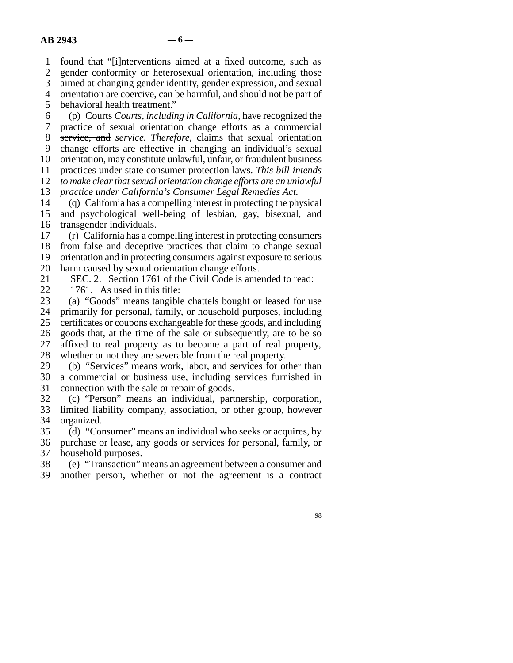1 found that "linterventions aimed at a fixed outcome, such as

2 gender conformity or heterosexual orientation, including those<br>3 aimed at changing gender identity, gender expression, and sexual

aimed at changing gender identity, gender expression, and sexual

4 orientation are coercive, can be harmful, and should not be part of

5 behavioral health treatment."

 line 6 (p) Courts *Courts, including in California,* have recognized the 7 practice of sexual orientation change efforts as a commercial 8 service, and *service. Therefore*, claims that sexual orientation 9 change efforts are effective in changing an individual's sexual 10 orientation, may constitute unlawful, unfair, or fraudulent business 11 practices under state consumer protection laws. *This bill intends* 12 *to make clear that sexual orientation change efforts are an unlawful* 13 *practice under California's Consumer Legal Remedies Act.* 

 line 14 (q) California has a compelling interest in protecting the physical 15 and psychological well-being of lesbian, gay, bisexual, and 16 transgender individuals.

 $17$  (r) California has a compelling interest in protecting consumers 18 from false and deceptive practices that claim to change sexual 19 orientation and in protecting consumers against exposure to serious 20 harm caused by sexual orientation change efforts.

21 SEC. 2. Section 1761 of the Civil Code is amended to read:

22 1761. As used in this title:<br>23 (a) "Goods" means tangible (a) "Goods" means tangible chattels bought or leased for use 24 primarily for personal, family, or household purposes, including<br>25 certificates or coupons exchangeable for these goods, and including certificates or coupons exchangeable for these goods, and including 26 goods that, at the time of the sale or subsequently, are to be so 27 affixed to real property as to become a part of real property, 28 whether or not they are severable from the real property.

29 (b) "Services" means work, labor, and services for other than 30 a commercial or business use, including services furnished in 31 connection with the sale or repair of goods.

 line 32 (c) "Person" means an individual, partnership, corporation, 33 limited liability company, association, or other group, however 34 organized.

35 (d) "Consumer" means an individual who seeks or acquires, by 36 purchase or lease, any goods or services for personal, family, or 37 household purposes.

 line 38 (e) "Transaction" means an agreement between a consumer and 39 another person, whether or not the agreement is a contract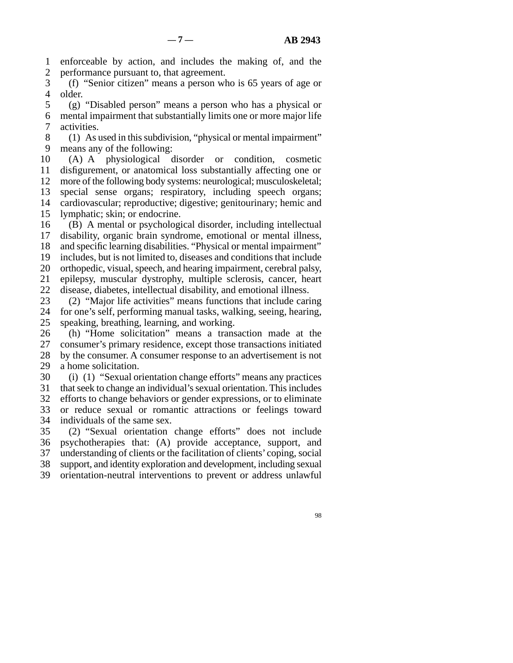line 1 enforceable by action, and includes the making of, and the 2 performance pursuant to, that agreement.<br>3 (f) "Senior citizen" means a person wh

(f) "Senior citizen" means a person who is  $65$  years of age or 4 older.

 line 5 (g) "Disabled person" means a person who has a physical or 6 mental impairment that substantially limits one or more major life 7 activities.

8 (1) As used in this subdivision, "physical or mental impairment" 9 means any of the following:

10 (A) A physiological disorder or condition, cosmetic 11 disfigurement, or anatomical loss substantially affecting one or 12 more of the following body systems: neurological; musculoskeletal; 13 special sense organs; respiratory, including speech organs; 14 cardiovascular; reproductive; digestive; genitourinary; hemic and 15 lymphatic; skin; or endocrine.

16 (B) A mental or psychological disorder, including intellectual 17 disability, organic brain syndrome, emotional or mental illness, 18 and specific learning disabilities. "Physical or mental impairment" 19 includes, but is not limited to, diseases and conditions that include 20 orthopedic, visual, speech, and hearing impairment, cerebral palsy, 21 epilepsy, muscular dystrophy, multiple sclerosis, cancer, heart 22 disease, diabetes, intellectual disability, and emotional illness.

23 (2) "Major life activities" means functions that include caring 24 for one's self, performing manual tasks, walking, seeing, hearing, 25 speaking, breathing, learning, and working. speaking, breathing, learning, and working.

26 (h) "Home solicitation" means a transaction made at the 27 consumer's primary residence, except those transactions initiated consumer's primary residence, except those transactions initiated 28 by the consumer. A consumer response to an advertisement is not 29 a home solicitation.

30 (i) (1) "Sexual orientation change efforts" means any practices 31 that seek to change an individual's sexual orientation. This includes 32 efforts to change behaviors or gender expressions, or to eliminate 33 or reduce sexual or romantic attractions or feelings toward 34 individuals of the same sex.

 line 35 (2) "Sexual orientation change efforts" does not include 36 psychotherapies that: (A) provide acceptance, support, and 37 understanding of clients or the facilitation of clients' coping, social 38 support, and identity exploration and development, including sexual 39 orientation-neutral interventions to prevent or address unlawful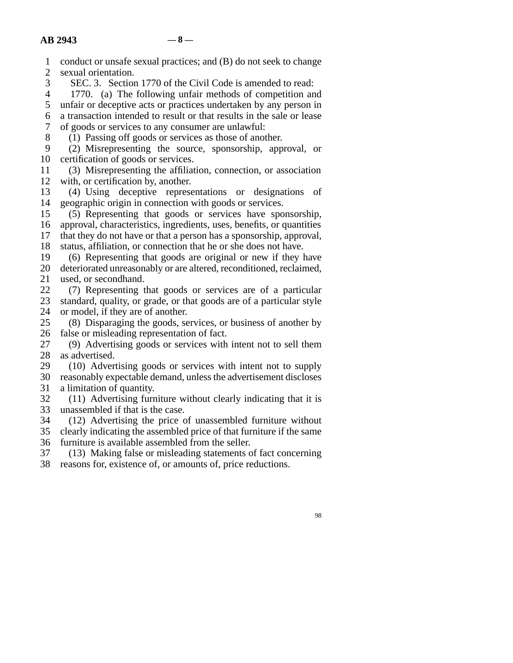1 conduct or unsafe sexual practices; and  $(B)$  do not seek to change 2 sexual orientation.<br>3 SEC. 3. Section SEC. 3. Section 1770 of the Civil Code is amended to read: line 4 1770. (a) The following unfair methods of competition and 5 unfair or deceptive acts or practices undertaken by any person in line 6 a transaction intended to result or that results in the sale or lease 7 of goods or services to any consumer are unlawful: 8 (1) Passing off goods or services as those of another. line 9 (2) Misrepresenting the source, sponsorship, approval, or 10 certification of goods or services. 11 (3) Misrepresenting the affiliation, connection, or association 12 with, or certification by, another. 13 (4) Using deceptive representations or designations of 14 geographic origin in connection with goods or services. 15 (5) Representing that goods or services have sponsorship, 16 approval, characteristics, ingredients, uses, benefits, or quantities 17 that they do not have or that a person has a sponsorship, approval, 18 status, affiliation, or connection that he or she does not have. 19 (6) Representing that goods are original or new if they have 20 deteriorated unreasonably or are altered, reconditioned, reclaimed, 21 used, or secondhand. 22 (7) Representing that goods or services are of a particular 23 standard, quality, or grade, or that goods are of a particular style standard, quality, or grade, or that goods are of a particular style 24 or model, if they are of another.<br>25 (8) Disparaging the goods, see  $\lambda$  (8) Disparaging the goods, services, or business of another by 26 false or misleading representation of fact. 27 (9) Advertising goods or services with intent not to sell them 28 as advertised. 29 (10) Advertising goods or services with intent not to supply 30 reasonably expectable demand, unless the advertisement discloses 31 a limitation of quantity.  $32$  (11) Advertising furniture without clearly indicating that it is 33 unassembled if that is the case. 34 (12) Advertising the price of unassembled furniture without 35 clearly indicating the assembled price of that furniture if the same 36 furniture is available assembled from the seller. 37 (13) Making false or misleading statements of fact concerning

38 reasons for, existence of, or amounts of, price reductions.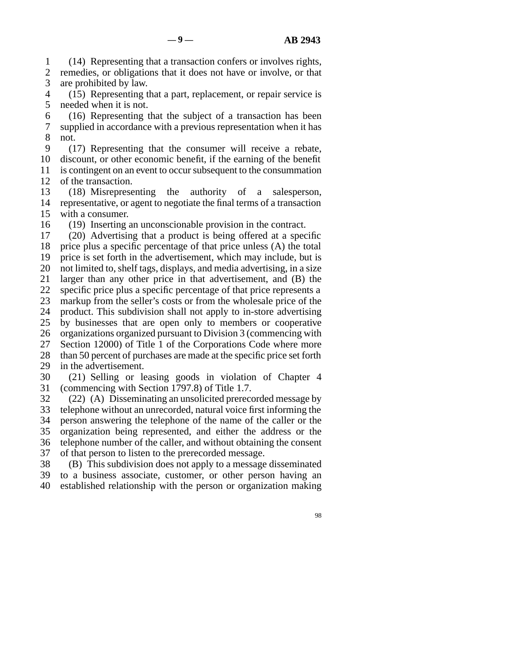line 1 (14) Representing that a transaction confers or involves rights, 2 remedies, or obligations that it does not have or involve, or that 3 are prohibited by law.

4 (15) Representing that a part, replacement, or repair service is 5 needed when it is not.

6 (16) Representing that the subject of a transaction has been 7 supplied in accordance with a previous representation when it has 8 not.

9 (17) Representing that the consumer will receive a rebate, 10 discount, or other economic benefit, if the earning of the benefit 11 is contingent on an event to occur subsequent to the consummation 12 of the transaction.

13 (18) Misrepresenting the authority of a salesperson, 14 representative, or agent to negotiate the final terms of a transaction 15 with a consumer.

16 (19) Inserting an unconscionable provision in the contract.

 $17$  (20) Advertising that a product is being offered at a specific 18 price plus a specific percentage of that price unless (A) the total 19 price is set forth in the advertisement, which may include, but is 20 not limited to, shelf tags, displays, and media advertising, in a size 21 larger than any other price in that advertisement, and (B) the 22 specific price plus a specific percentage of that price represents a 23 markup from the seller's costs or from the wholesale price of the 24 product. This subdivision shall not apply to in-store advertising 25 by businesses that are open only to members or cooperative by businesses that are open only to members or cooperative 26 organizations organized pursuant to Division 3 (commencing with 27 Section 12000) of Title 1 of the Corporations Code where more 28 than 50 percent of purchases are made at the specific price set forth 29 in the advertisement.

30 (21) Selling or leasing goods in violation of Chapter 4 31 (commencing with Section 1797.8) of Title 1.7.

32 (22) (A) Disseminating an unsolicited prerecorded message by telephone without an unrecorded, natural voice first informing the telephone without an unrecorded, natural voice first informing the 34 person answering the telephone of the name of the caller or the 35 organization being represented, and either the address or the 36 telephone number of the caller, and without obtaining the consent 37 of that person to listen to the prerecorded message.

38 (B) This subdivision does not apply to a message disseminated 39 to a business associate, customer, or other person having an 40 established relationship with the person or organization making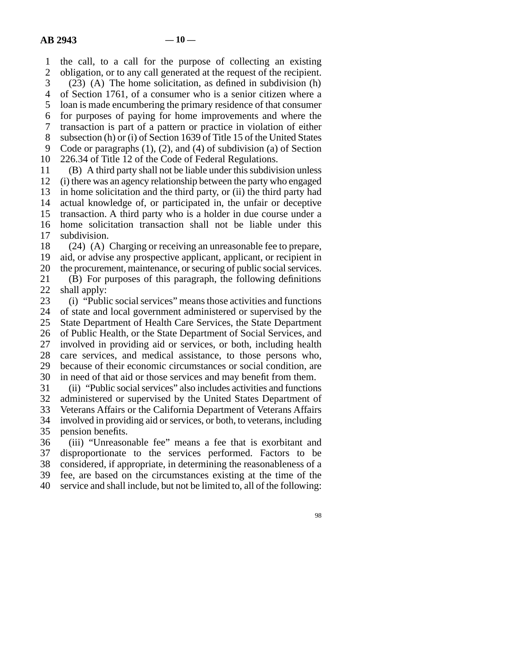line 1 the call, to a call for the purpose of collecting an existing 2 obligation, or to any call generated at the request of the recipient.<br>3 (23) (A) The home solicitation, as defined in subdivision (h)  $(23)$  (A) The home solicitation, as defined in subdivision (h) 4 of Section 1761, of a consumer who is a senior citizen where a 5 loan is made encumbering the primary residence of that consumer line 6 for purposes of paying for home improvements and where the 7 transaction is part of a pattern or practice in violation of either 8 subsection (h) or (i) of Section 1639 of Title 15 of the United States 9 Code or paragraphs  $(1)$ ,  $(2)$ , and  $(4)$  of subdivision  $(a)$  of Section 10 226.34 of Title 12 of the Code of Federal Regulations. line 11 (B) A third party shall not be liable under this subdivision unless 12 (i) there was an agency relationship between the party who engaged 13 in home solicitation and the third party, or (ii) the third party had 14 actual knowledge of, or participated in, the unfair or deceptive 15 transaction. A third party who is a holder in due course under a 16 home solicitation transaction shall not be liable under this

17 subdivision.

18 (24) (A) Charging or receiving an unreasonable fee to prepare, 19 aid, or advise any prospective applicant, applicant, or recipient in 20 the procurement, maintenance, or securing of public social services. 21 (B) For purposes of this paragraph, the following definitions

22 shall apply:<br>23 (i) "Publi  $\mu$  "Public social services" means those activities and functions 24 of state and local government administered or supervised by the<br>25 State Department of Health Care Services, the State Department State Department of Health Care Services, the State Department 26 of Public Health, or the State Department of Social Services, and 27 involved in providing aid or services, or both, including health 28 care services, and medical assistance, to those persons who, 29 because of their economic circumstances or social condition, are 30 in need of that aid or those services and may benefit from them. line 31 (ii) "Public social services" also includes activities and functions

32 administered or supervised by the United States Department of 33 Veterans Affairs or the California Department of Veterans Affairs line 34 involved in providing aid or services, or both, to veterans, including 35 pension benefits.

36 (iii) "Unreasonable fee" means a fee that is exorbitant and 37 disproportionate to the services performed. Factors to be 38 considered, if appropriate, in determining the reasonableness of a line 39 fee, are based on the circumstances existing at the time of the 40 service and shall include, but not be limited to, all of the following: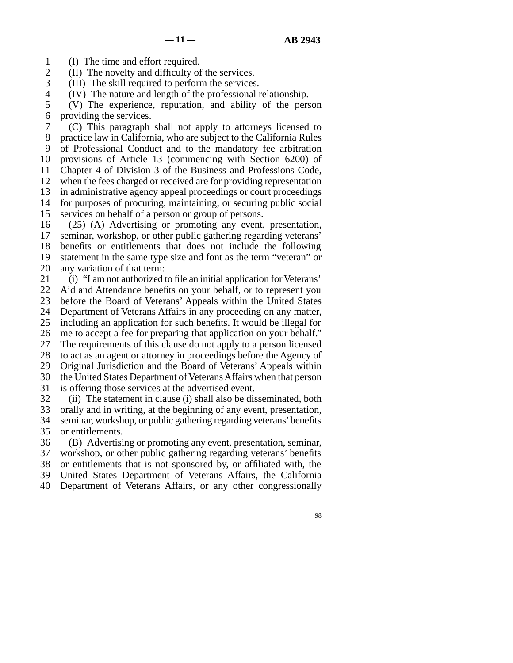- 1 (I) The time and effort required.
- 2 (II) The novelty and difficulty of the services.<br>3 (III) The skill required to perform the services
- (III) The skill required to perform the services.
- 4 (IV) The nature and length of the professional relationship.

 line 5 (V) The experience, reputation, and ability of the person 6 providing the services.

7 (C) This paragraph shall not apply to attorneys licensed to 8 practice law in California, who are subject to the California Rules 9 of Professional Conduct and to the mandatory fee arbitration 10 provisions of Article 13 (commencing with Section 6200) of 11 Chapter 4 of Division 3 of the Business and Professions Code, 12 when the fees charged or received are for providing representation 13 in administrative agency appeal proceedings or court proceedings 14 for purposes of procuring, maintaining, or securing public social 15 services on behalf of a person or group of persons.

16 (25) (A) Advertising or promoting any event, presentation, 17 seminar, workshop, or other public gathering regarding veterans' 18 benefits or entitlements that does not include the following 19 statement in the same type size and font as the term "veteran" or 20 any variation of that term:

21 (i) "I am not authorized to file an initial application for Veterans'

22 Aid and Attendance benefits on your behalf, or to represent you 23 before the Board of Veterans' Appeals within the United States

24 Department of Veterans Affairs in any proceeding on any matter,<br>25 including an application for such benefits. It would be illegal for

including an application for such benefits. It would be illegal for

26 me to accept a fee for preparing that application on your behalf."

27 The requirements of this clause do not apply to a person licensed

28 to act as an agent or attorney in proceedings before the Agency of 29 Original Jurisdiction and the Board of Veterans' Appeals within

30 the United States Department of Veterans Affairs when that person

31 is offering those services at the advertised event.

32 (ii) The statement in clause (i) shall also be disseminated, both

33 orally and in writing, at the beginning of any event, presentation, 34 seminar, workshop, or public gathering regarding veterans' benefits

35 or entitlements.

36 (B) Advertising or promoting any event, presentation, seminar,

37 workshop, or other public gathering regarding veterans' benefits 38 or entitlements that is not sponsored by, or affiliated with, the

39 United States Department of Veterans Affairs, the California

- 40 Department of Veterans Affairs, or any other congressionally
	- 98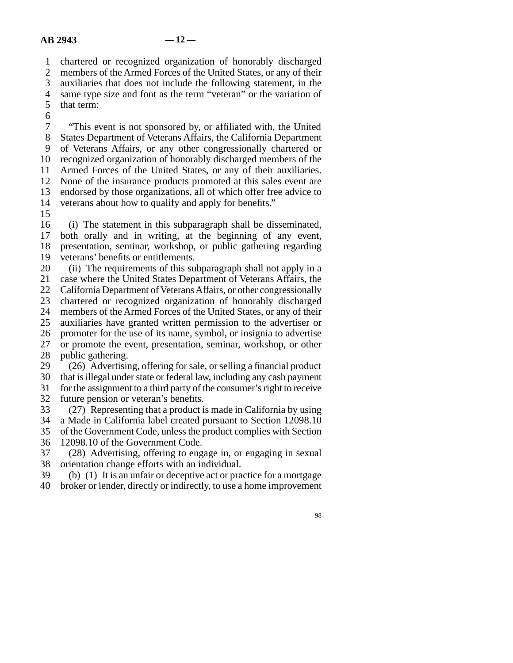line 1 chartered or recognized organization of honorably discharged

2 members of the Armed Forces of the United States, or any of their<br>3 auxiliaries that does not include the following statement, in the auxiliaries that does not include the following statement, in the

4 same type size and font as the term "veteran" or the variation of

- 5 that term:
- $6 \overline{6}$

 line 7 "This event is not sponsored by, or affiliated with, the United 8 States Department of Veterans Affairs, the California Department 9 of Veterans Affairs, or any other congressionally chartered or 10 recognized organization of honorably discharged members of the 11 Armed Forces of the United States, or any of their auxiliaries. 12 None of the insurance products promoted at this sales event are 13 endorsed by those organizations, all of which offer free advice to 14 veterans about how to qualify and apply for benefits."

15

16 (i) The statement in this subparagraph shall be disseminated, 17 both orally and in writing, at the beginning of any event, 18 presentation, seminar, workshop, or public gathering regarding 19 veterans' benefits or entitlements.

20 (ii) The requirements of this subparagraph shall not apply in a 21 case where the United States Department of Veterans Affairs, the

22 California Department of Veterans Affairs, or other congressionally 23 chartered or recognized organization of honorably discharged

24 members of the Armed Forces of the United States, or any of their<br>25 auxiliaries have granted written permission to the advertiser or

auxiliaries have granted written permission to the advertiser or

26 promoter for the use of its name, symbol, or insignia to advertise 27 or promote the event, presentation, seminar, workshop, or other

# 28 public gathering.

29  $(26)$  Advertising, offering for sale, or selling a financial product

30 that is illegal under state or federal law, including any cash payment

31 for the assignment to a third party of the consumer's right to receive

32 future pension or veteran's benefits.

33 (27) Representing that a product is made in California by using

34 a Made in California label created pursuant to Section 12098.10

35 of the Government Code, unless the product complies with Section

36 12098.10 of the Government Code.

37 (28) Advertising, offering to engage in, or engaging in sexual 38 orientation change efforts with an individual.

 $\delta$  39 (b) (1) It is an unfair or deceptive act or practice for a mortgage 40 broker or lender, directly or indirectly, to use a home improvement